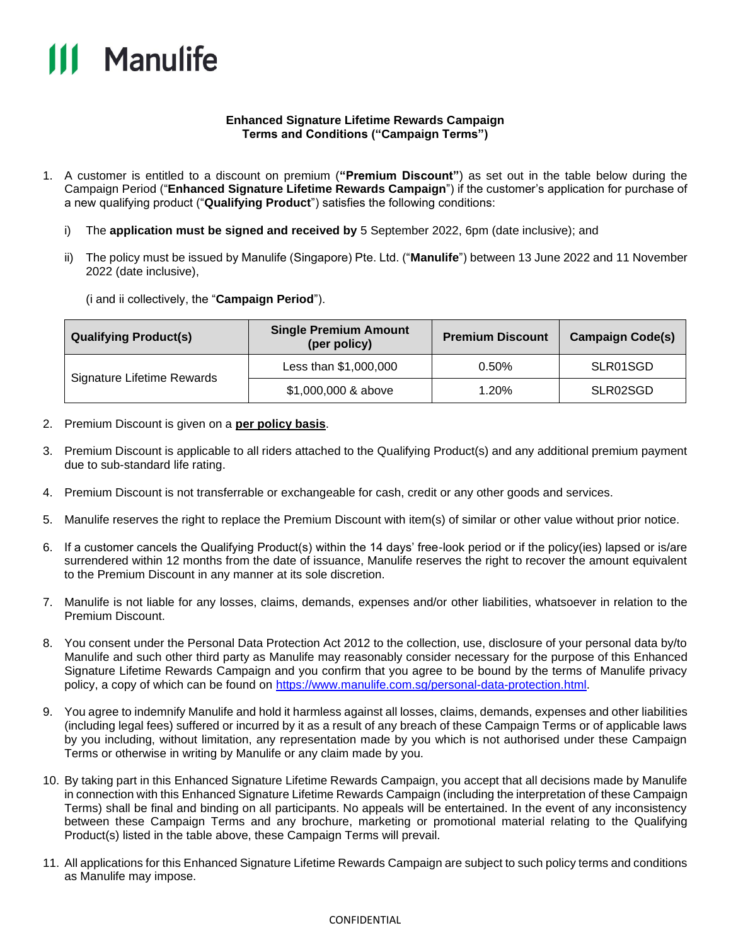

## **Enhanced Signature Lifetime Rewards Campaign Terms and Conditions ("Campaign Terms")**

- 1. A customer is entitled to a discount on premium (**"Premium Discount"**) as set out in the table below during the Campaign Period ("**Enhanced Signature Lifetime Rewards Campaign**") if the customer's application for purchase of a new qualifying product ("**Qualifying Product**") satisfies the following conditions:
	- i) The **application must be signed and received by** 5 September 2022, 6pm (date inclusive); and
	- ii) The policy must be issued by Manulife (Singapore) Pte. Ltd. ("**Manulife**") between 13 June 2022 and 11 November 2022 (date inclusive),

(i and ii collectively, the "**Campaign Period**").

| <b>Qualifying Product(s)</b> | <b>Single Premium Amount</b><br>(per policy) | <b>Premium Discount</b> | <b>Campaign Code(s)</b> |
|------------------------------|----------------------------------------------|-------------------------|-------------------------|
| Signature Lifetime Rewards   | Less than \$1,000,000                        | 0.50%                   | SLR01SGD                |
|                              | \$1,000,000 & above                          | 1.20%                   | SLR02SGD                |

- 2. Premium Discount is given on a **per policy basis**.
- 3. Premium Discount is applicable to all riders attached to the Qualifying Product(s) and any additional premium payment due to sub-standard life rating.
- 4. Premium Discount is not transferrable or exchangeable for cash, credit or any other goods and services.
- 5. Manulife reserves the right to replace the Premium Discount with item(s) of similar or other value without prior notice.
- 6. If a customer cancels the Qualifying Product(s) within the 14 days' free-look period or if the policy(ies) lapsed or is/are surrendered within 12 months from the date of issuance, Manulife reserves the right to recover the amount equivalent to the Premium Discount in any manner at its sole discretion.
- 7. Manulife is not liable for any losses, claims, demands, expenses and/or other liabilities, whatsoever in relation to the Premium Discount.
- 8. You consent under the Personal Data Protection Act 2012 to the collection, use, disclosure of your personal data by/to Manulife and such other third party as Manulife may reasonably consider necessary for the purpose of this Enhanced Signature Lifetime Rewards Campaign and you confirm that you agree to be bound by the terms of Manulife privacy policy, a copy of which can be found on [https://www.manulife.com.sg/personal-data-protection.html.](https://www.manulife.com.sg/personal-data-protection.html)
- 9. You agree to indemnify Manulife and hold it harmless against all losses, claims, demands, expenses and other liabilities (including legal fees) suffered or incurred by it as a result of any breach of these Campaign Terms or of applicable laws by you including, without limitation, any representation made by you which is not authorised under these Campaign Terms or otherwise in writing by Manulife or any claim made by you.
- 10. By taking part in this Enhanced Signature Lifetime Rewards Campaign, you accept that all decisions made by Manulife in connection with this Enhanced Signature Lifetime Rewards Campaign (including the interpretation of these Campaign Terms) shall be final and binding on all participants. No appeals will be entertained. In the event of any inconsistency between these Campaign Terms and any brochure, marketing or promotional material relating to the Qualifying Product(s) listed in the table above, these Campaign Terms will prevail.
- 11. All applications for this Enhanced Signature Lifetime Rewards Campaign are subject to such policy terms and conditions as Manulife may impose.

## CONFIDENTIAL